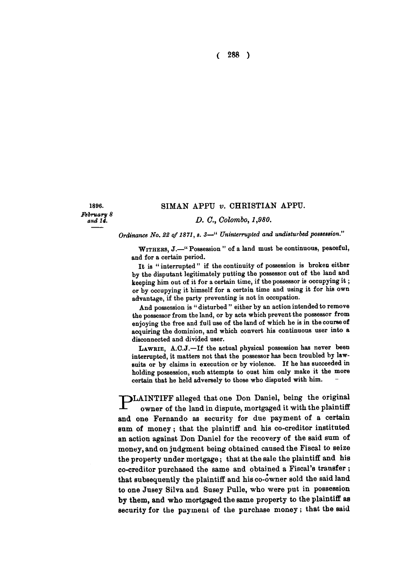**( 288 )** 

### 1896. **SIM AN APPU** *v.* **CHRISTIAN APPU.**

*February 8* 

*and u. D. C, Colombo, 1,980.* 

*Ordinance No. 22 of 1871, s. 3—" Uninterrupted and undisturbed possession."* 

WITHERS, J.-" Possession" of a land must be continuous, peaceful, and for a certain period.

It is "interrupted" if the continuity of possession is broken either by the disputant legitimately putting the possessor out of the land and keeping him out of it for a certain time, if the possessor is occupying it ; or by occupying it himself for a certain time and using it for his own advantage, if the party preventing is not in occupation.

And possession is " disturbed " either by an action intended to remove the possessor from the land, or by acts which prevent the possessor from enjoying the free and full use of the land of which he is in the course of acquiring the dominion, and which convert his continuous user into a disconnected and divided user.

LAWRIE, A.C.J.-If the actual physical possession has never been interrupted, it matters not that the possessor has been troubled by lawsuits or by claims in execution or by violence. If he has succeeded in holding possession, such attempts to oust him only make it the more certain that he held adversely to those who disputed with him.

**MLAINTIFF alleged that one Don Daniel, being the original** owner of the land in dispute, mortgaged it with the plaintiff **and one Fernando as security for due payment of a certain sum of money; that the plaintiff and his co-creditor instituted an action against Don Daniel for the recovery of the said sum of money, and on judgment being obtained caused the Fiscal to seize the property under mortgage; that at the sale the plaintiff and his co-creditor purchased the same and obtained a Fiscal's transfer ; that subsequently the plaintiff and his co-owner sold the said land to one Jusey Silva and Susey Pulle, who were put in possession by them, and who mortgaged the same property to the plaintiff as security for the payment of the purchase money; that the said**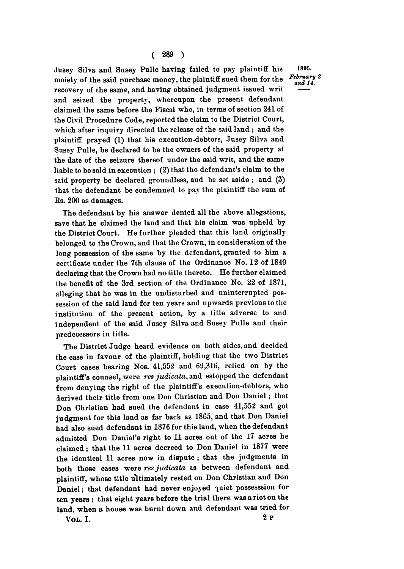Jusey Silva and Susey Pulle having failed to pay plaintiff his 1895. **moiety of the said purchase money, the plaintiff sued them for the recovery of the same, and having obtained judgment issued writ and seized the property, whereupon the present defendant claimed the same before the Fiscal who, in terms of section 241 of the Civil Procedure Code, reported the claim to the District Court, which after inquiry directed the release of the said land ; and the plaintiff prayed (1) that his execution-debtors, Jusey Silva and Susey Pulle, be declared to be the owners of the said property at the date of the seizure thereof under the said writ, and the same liable to be sold in execution ; (2) that the defendant's claim to the said property be declared groundless, and be set aside ; and (3) that the defendant be condemned to pay the plaintiff the sum of Rs. 200 as damages.** 

**The defendant by his answer denied all the above allegations, save that he claimed the land and that his claim was upheld by the District Court. He further pleaded that this land originally belonged to the Crown, and that the Crown, in consideration of the long possession of the same by the defendant, granted to him a certificate under the 7th clause of the Ordinance No. 12 of 1840 declaring that the Crown had no title thereto. He further claimed the benefit of the 3rd section of the Ordinance No. 22 of 1871, alleging that he was in the undisturbed and uninterrupted possession of the said land for ten years and upwards previous to the institution of the present action, by a title adverse to and independent of the said Jusey Silva and Susey Pulle and their predecessors in title.** 

**The District Judge heard evidence on both sides, and decided the case in favour of the plaintiff, holding that the two District Court cases bearing Nos. 41,552 and 69,316, relied on by the plaintiffs counsel, were** *res judicata,* **and estopped the defendant from denying the right of the plaintiff's execution-debtors, who ierived their title from one Don Christian and Don Daniel; that Don Christian had sued the defendant in case 41,552 and got judgment for this land as far back as 1865, and that Don Daniel had also sued defendant in 1876 for this land, when the defendant admitted Don Daniel's right to 11 acres out of the 17 acres he**  claimed; that the 11 acres decreed to Don Daniel in 1877 were **the identical 11 acres now in dispute ; that the judgments in both those cases were** *res judicata* **as between defendant and plaintiff, whose title ultimately rested on Don Christian and Don Daniel; that defendant had never enjoyed quiet possesssion for ten years ; that eight years before the trial there was a riot on the land, when a house was burnt down and defendant was tried for VOL. I. 2 P**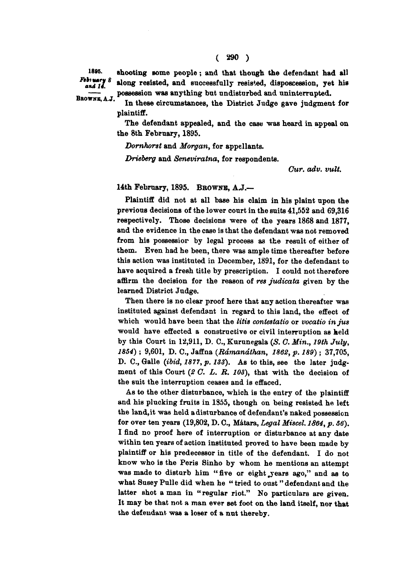BROWNE, A.J.

**In these circumstances, the District Judge gave judgment for plaintiff.** 

**The defendant appealed, and the case was heard in appeal on the 8th February, 1895.** 

*Domhorst* **and** *Morgan,* **for appellants.** 

*Drieberg* **and** *Seneviratna,* **for respondents.** 

*Cur. adv. vult.* 

# **14th February, 1895. BBOWNB, A J.—**

**Plaintiff did not at all base his claim in his plaint upon the previous decisions of the lower court in the suits 41,552 and 69,316 respectively. Those decisions were of the years 1868 and 1877, and the evidence in the case is that the defendant was not removed from his possessior by legal process as the result of either of them. Even had he been, there was ample time thereafter before this action was instituted in December, 1891, for the defendant to have acquired a fresh title by prescription. I could not therefore affirm the decision for the reason of** *res judicata* **given by the learned District Judge.** 

**Then there is no clear proof here that any action thereafter was instituted against defendant in regard to this land, the effect of which would have been that the** *litis contestalio* **or** *vocatio in jus*  **would have effected a constructive or civil interruption as held by this Court in 12,911, D. C, Kurunegala** *(S. C. Min., 19th July, 1854) ;* **9,601, D. C, Jaffna** *(Rdmandthan, 1862, p. 189)* **; 37,705, D. C, Galle** *(ibid, 1877, p. 133).* **As to this, see the later judgment of this Court** *(2 C. L. R. 103),* **that with the decision of the suit the interruption ceases and is effaced.** 

**As to the other disturbance, which is the entry of the plaintiff and his plucking fruits in 1855, though on being resisted he left the land, it was held a disturbance of defendant's naked possession for over ten years (19,802, D. C, Matara,** *Legal Miscel. 1864, p. 56).*  **I find no proof here of interruption or disturbance at any date within ten years of action instituted proved to have been made by plaintiff or his predecessor in title of the defendant. I do not know who is the Peris Sinho by whom he mentions an attempt was made to disturb him " five or eight .years ago," and as to what Susey Pulle did when he " tried to oust" defendant and the latter shot a man in " regular riot." No particulars are given. It may be that not a man ever set foot on the land itself, nor that the defendant was a loser of a nut thereby.**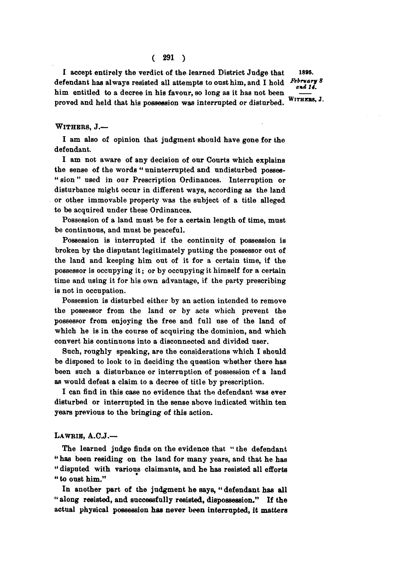## **( 291 )**

**I accept entirely the verdict of the learned District Judge that l8»s. defendant has always resisted all attempts to oust him, and I hold** him entitled to a decree in his favour, so long as it has not been we have a set of the state of the state of the state of the state of the state of the state of the state of the state of the state of the state of the stat proved and held that his possession was interrupted or disturbed. **proved and held that his possession was interrupted or disturbed.**

 *Feir>'<sup>a</sup> jJ<sup>8</sup>*

### **WITHERS, J.—**

**I am also of opinion that judgment should have gone for the defendant.** 

**I am not aware of any decision of our Courts which explains the sense of the words " uninterrupted and undisturbed posses- " sion " used in our Prescription Ordinances. Interruption or disturbance might occur in different ways, according as the land or other immovable property was the subject of a title alleged to be acquired under these Ordinances.** 

**Possession of a land must be for a certain length of time, must be continuous, and must be peaceful.** 

**Possession is interrupted if the continuity of possession is broken by the disputant legitimately putting the possessor out of the land and keeping him out of it for a certain time, if the possessor is occupying it; or by occupying it himself for a certain time and using it for his own advantage, if the party prescribing is not in occupation.** 

**Possession is disturbed either by an action intended to remove the possessor from the land or by acts which prevent the possessor from enjoying the free and full use of the land of which he is in the course of acquiring the dominion, and which convert his continuous into a disconnected and divided user.** 

**Such, roughly speaking, are the considerations which I should be disposed to look to in deciding the question whether there has been such a disturbance or interruption of possession of a land as would defeat a claim to a decree of title by prescription.** 

**I can find in this case no evidence that the defendant was ever disturbed or interrupted in the sense above indicated within ten years previous to the bringing of this action.** 

### **LAWRIB, A.C.J.—**

**The learned judge finds on the evidence that " the defendant " has been residing on the land for many years, and that he has " disputed with various claimants, and he has resisted all efforts " to oust him."** 

**In another part of the judgment he says, " defendant has all " along resisted, and successfully resisted, dispossession." If the actual physical possession has never been interrupted, it matters**